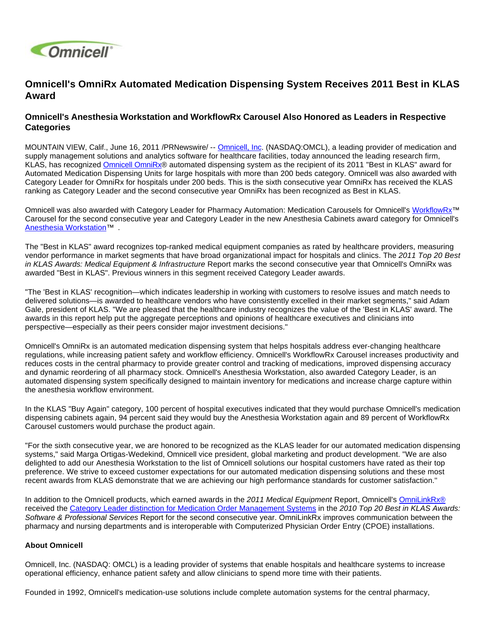

## **Omnicell's OmniRx Automated Medication Dispensing System Receives 2011 Best in KLAS Award**

## **Omnicell's Anesthesia Workstation and WorkflowRx Carousel Also Honored as Leaders in Respective Categories**

MOUNTAIN VIEW, Calif., June 16, 2011 /PRNewswire/ -- [Omnicell, Inc](http://www.omnicell.com/). (NASDAQ:OMCL), a leading provider of medication and supply management solutions and analytics software for healthcare facilities, today announced the leading research firm, KLAS, has recognized [Omnicell OmniRx](http://www.klasresearch.com/Research/Products/?id=1775)® automated dispensing system as the recipient of its 2011 "Best in KLAS" award for Automated Medication Dispensing Units for large hospitals with more than 200 beds category. Omnicell was also awarded with Category Leader for OmniRx for hospitals under 200 beds. This is the sixth consecutive year OmniRx has received the KLAS ranking as Category Leader and the second consecutive year OmniRx has been recognized as Best in KLAS.

Omnicell was also awarded with Category Leader for Pharmacy Automation: Medication Carousels for Omnicell's [WorkflowRx™](http://www.omnicell.com/Solutions/Central-Pharmacy-Automation/Pharmacy-Workflow/Pages/WorkflowRxSoftware.aspx) Carousel for the second consecutive year and Category Leader in the new Anesthesia Cabinets award category for Omnicell's [Anesthesia Workstation](http://www.omnicell.com/Solutions/Medication-Dispensing/Pages/Anesthesia-Workstation.aspx)™ .

The "Best in KLAS" award recognizes top-ranked medical equipment companies as rated by healthcare providers, measuring vendor performance in market segments that have broad organizational impact for hospitals and clinics. The 2011 Top 20 Best in KLAS Awards: Medical Equipment & Infrastructure Report marks the second consecutive year that Omnicell's OmniRx was awarded "Best in KLAS". Previous winners in this segment received Category Leader awards.

"The 'Best in KLAS' recognition—which indicates leadership in working with customers to resolve issues and match needs to delivered solutions—is awarded to healthcare vendors who have consistently excelled in their market segments," said Adam Gale, president of KLAS. "We are pleased that the healthcare industry recognizes the value of the 'Best in KLAS' award. The awards in this report help put the aggregate perceptions and opinions of healthcare executives and clinicians into perspective—especially as their peers consider major investment decisions."

Omnicell's OmniRx is an automated medication dispensing system that helps hospitals address ever-changing healthcare regulations, while increasing patient safety and workflow efficiency. Omnicell's WorkflowRx Carousel increases productivity and reduces costs in the central pharmacy to provide greater control and tracking of medications, improved dispensing accuracy and dynamic reordering of all pharmacy stock. Omnicell's Anesthesia Workstation, also awarded Category Leader, is an automated dispensing system specifically designed to maintain inventory for medications and increase charge capture within the anesthesia workflow environment.

In the KLAS "Buy Again" category, 100 percent of hospital executives indicated that they would purchase Omnicell's medication dispensing cabinets again, 94 percent said they would buy the Anesthesia Workstation again and 89 percent of WorkflowRx Carousel customers would purchase the product again.

"For the sixth consecutive year, we are honored to be recognized as the KLAS leader for our automated medication dispensing systems," said Marga Ortigas-Wedekind, Omnicell vice president, global marketing and product development. "We are also delighted to add our Anesthesia Workstation to the list of Omnicell solutions our hospital customers have rated as their top preference. We strive to exceed customer expectations for our automated medication dispensing solutions and these most recent awards from KLAS demonstrate that we are achieving our high performance standards for customer satisfaction."

In addition to the Omnicell products, which earned awards in the 2011 Medical Equipment Report, Omnicell's [OmniLinkRx®](http://www.omnicell.com/Resources/Datasheets/OmniLinkRx.pdf) received the [Category Leader distinction for Medication Order Management Systems](http://ir.omnicell.com/releasedetail.cfm?ReleaseID=542993) in the 2010 Top 20 Best in KLAS Awards: Software & Professional Services Report for the second consecutive year. OmniLinkRx improves communication between the pharmacy and nursing departments and is interoperable with Computerized Physician Order Entry (CPOE) installations.

## **About Omnicell**

Omnicell, Inc. (NASDAQ: OMCL) is a leading provider of systems that enable hospitals and healthcare systems to increase operational efficiency, enhance patient safety and allow clinicians to spend more time with their patients.

Founded in 1992, Omnicell's medication-use solutions include complete automation systems for the central pharmacy,